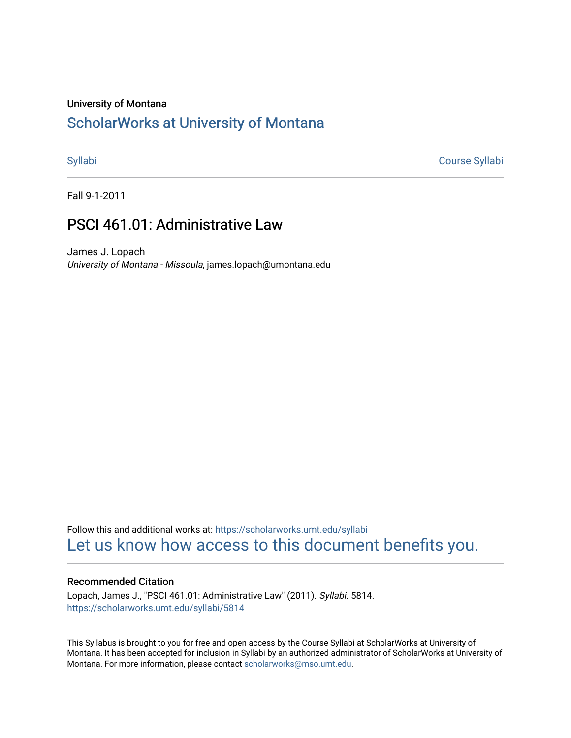### University of Montana

# [ScholarWorks at University of Montana](https://scholarworks.umt.edu/)

[Syllabi](https://scholarworks.umt.edu/syllabi) [Course Syllabi](https://scholarworks.umt.edu/course_syllabi) 

Fall 9-1-2011

# PSCI 461.01: Administrative Law

James J. Lopach University of Montana - Missoula, james.lopach@umontana.edu

Follow this and additional works at: [https://scholarworks.umt.edu/syllabi](https://scholarworks.umt.edu/syllabi?utm_source=scholarworks.umt.edu%2Fsyllabi%2F5814&utm_medium=PDF&utm_campaign=PDFCoverPages)  [Let us know how access to this document benefits you.](https://goo.gl/forms/s2rGfXOLzz71qgsB2) 

### Recommended Citation

Lopach, James J., "PSCI 461.01: Administrative Law" (2011). Syllabi. 5814. [https://scholarworks.umt.edu/syllabi/5814](https://scholarworks.umt.edu/syllabi/5814?utm_source=scholarworks.umt.edu%2Fsyllabi%2F5814&utm_medium=PDF&utm_campaign=PDFCoverPages)

This Syllabus is brought to you for free and open access by the Course Syllabi at ScholarWorks at University of Montana. It has been accepted for inclusion in Syllabi by an authorized administrator of ScholarWorks at University of Montana. For more information, please contact [scholarworks@mso.umt.edu.](mailto:scholarworks@mso.umt.edu)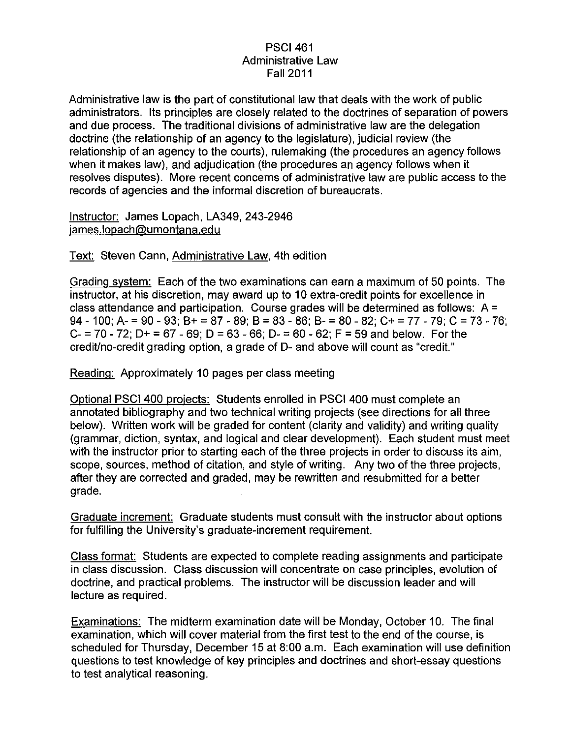# PSCI 461 Administrative Law Fall 2011

Administrative law is the part of constitutional law that deals with the work of public administrators. Its principles are closely related to the doctrines of separation of powers and due process. The traditional divisions of administrative law are the delegation doctrine (the relationship of an agency to the legislature), judicial review (the relationship of an agency to the courts), rulemaking (the procedures an agency follows when it makes law), and adjudication (the procedures an agency follows when it resolves disputes). More recent concerns of administrative law are public access to the records of agencies and the informal discretion of bureaucrats.

Instructor: James Lopach, LA349, 243-2946 james.lopach@umontana.edu

Text: Steven Cann, Administrative Law, 4th edition

Grading system: Each of the two examinations can earn a maximum of 50 points. The instructor, at his discretion, may award up to 10 extra-credit points for excellence in class attendance and participation. Course grades will be determined as follows:  $A =$ 94 - 100; A- = 90 - 93; B+ = 87 - 89; B = 83 - 86; B- = 80 - 82; C+ = 77 - 79; C = 73 - 76; C- = 70 - 72; D+ = 67 - 69; D = 63 - 66; D- = 60 - 62; F = 59 and below. For the credit/no-credit grading option, a grade of D- and above will count as "credit."

Reading: Approximately 10 pages per class meeting

Optional PSCI 400 projects: Students enrolled in PSCI 400 must complete an annotated bibliography and two technical writing projects (see directions for all three below). Written work will be graded for content (clarity and validity) and writing quality (grammar, diction, syntax, and logical and clear development). Each student must meet with the instructor prior to starting each of the three projects in order to discuss its aim, scope, sources, method of citation, and style of writing. Any two of the three projects, after they are corrected and graded, may be rewritten and resubmitted for a better grade.

Graduate increment: Graduate students must consult with the instructor about options for fulfilling the University's graduate-increment requirement.

Class format: Students are expected to complete reading assignments and participate in class discussion. Class discussion will concentrate on case principles, evolution of doctrine, and practical problems. The instructor will be discussion leader and will lecture as required.

Examinations: The midterm examination date will be Monday, October 10. The final examination, which will cover material from the first test to the end of the course, is scheduled for Thursday, December 15 at 8:00 a.m. Each examination will use definition questions to test knowledge of key principles and doctrines and short-essay questions to test analytical reasoning.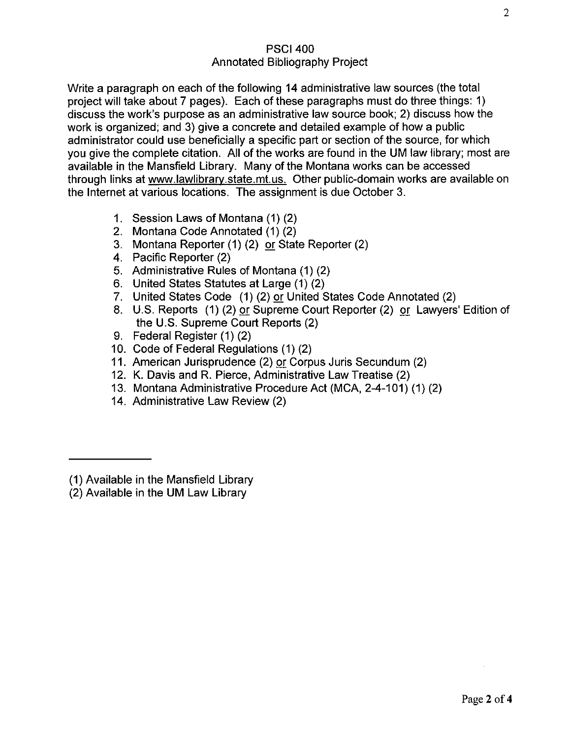# PSCI 400 Annotated Bibliography Project

Write a paragraph on each of the following 14 administrative law sources (the total project will take about 7 pages). Each of these paragraphs must do three things: 1) discuss the work's purpose as an administrative law source book; 2) discuss how the work is organized; and 3) give a concrete and detailed example of how a public administrator could use beneficially a specific part or section of the source, for which you give the complete citation. All of the works are found in the UM law library; most are available in the Mansfield Library. Many of the Montana works can be accessed through links at www.lawlibrarv.state.mt.us. Other public-domain works are available on the Internet at various locations. The assignment is due October 3.

- 1. Session Laws of Montana (1) (2)
- 2. Montana Code Annotated (1) (2)
- 3. Montana Reporter (1) (2) or State Reporter (2)
- 4. Pacific Reporter (2)
- 5. Administrative Rules of Montana (1) (2)
- 6. United States Statutes at Large (1) (2)
- 7. United States Code (1) (2) or United States Code Annotated (2)
- 8. U.S. Reports (1) (2) or Supreme Court Reporter (2) or Lawyers' Edition of the U.S. Supreme Court Reports (2)
- 9. Federal Register (1) (2)
- 10. Code of Federal Regulations (1) (2)
- 11. American Jurisprudence (2) or Corpus Juris Secundum (2)
- 12. K. Davis and R. Pierce, Administrative Law Treatise (2)
- 13. Montana Administrative Procedure Act (MCA, 2-4-101) (1) (2)
- 14. Administrative Law Review (2)

<sup>(1)</sup> Available in the Mansfield Library

<sup>(2)</sup> Available in the UM Law Library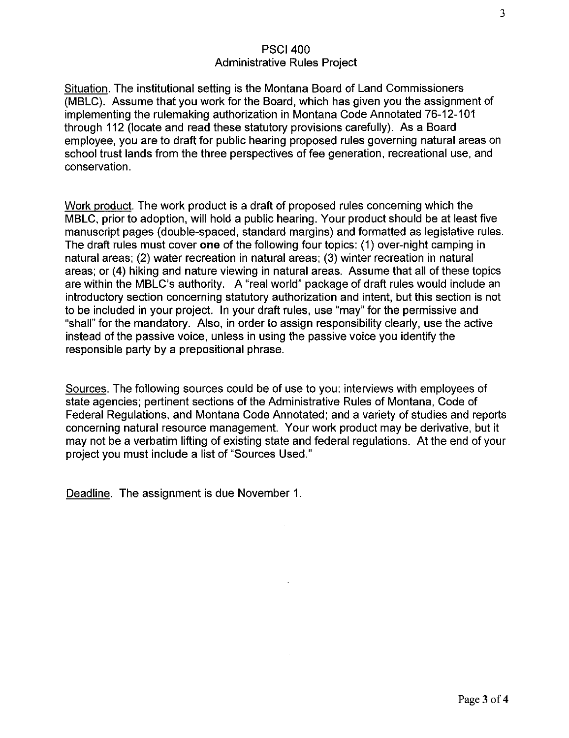## PSCI 400 Administrative Rules Project

Situation. The institutional setting is the Montana Board of Land Commissioners (MBLC). Assume that you work for the Board, which has given you the assignment of implementing the rulemaking authorization in Montana Code Annotated 76-12-101 through 112 (locate and read these statutory provisions carefully). As a Board employee, you are to draft for public hearing proposed rules governing natural areas on school trust lands from the three perspectives of fee generation, recreational use, and conservation.

Work product. The work product is a draft of proposed rules concerning which the MBLC, prior to adoption, will hold a public hearing. Your product should be at least five manuscript pages (double-spaced, standard margins) and formatted as legislative rules. The draft rules must cover **one** of the following four topics: (1) over-night camping in natural areas; (2) water recreation in natural areas; (3) winter recreation in natural areas; or (4) hiking and nature viewing in natural areas. Assume that all of these topics are within the MBLC's authority. A "real world" package of draft rules would include an introductory section concerning statutory authorization and intent, but this section is not to be included in your project. In your draft rules, use "may" for the permissive and "shall" for the mandatory. Also, in order to assign responsibility clearly, use the active instead of the passive voice, unless in using the passive voice you identify the responsible party by a prepositional phrase.

Sources. The following sources could be of use to you: interviews with employees of state agencies; pertinent sections of the Administrative Rules of Montana, Code of Federal Regulations, and Montana Code Annotated; and a variety of studies and reports concerning natural resource management. Your work product may be derivative, but it may not be a verbatim lifting of existing state and federal regulations. At the end of your project you must include a list of "Sources Used."

Deadline. The assignment is due November 1.